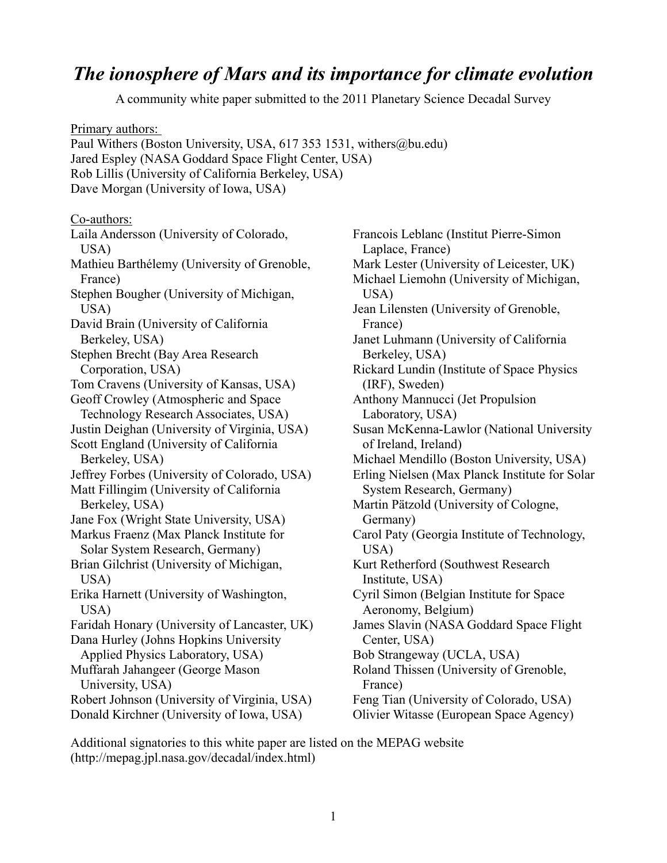## *The ionosphere of Mars and its importance for climate evolution*

A community white paper submitted to the 2011 Planetary Science Decadal Survey

Primary authors: Paul Withers (Boston University, USA, 617 353 1531, withers@bu.edu) Jared Espley (NASA Goddard Space Flight Center, USA) Rob Lillis (University of California Berkeley, USA) Dave Morgan (University of Iowa, USA) Co-authors: Laila Andersson (University of Colorado, USA) Mathieu Barthélemy (University of Grenoble, France) Stephen Bougher (University of Michigan, USA) David Brain (University of California Berkeley, USA) Stephen Brecht (Bay Area Research Corporation, USA) Tom Cravens (University of Kansas, USA) Geoff Crowley (Atmospheric and Space Technology Research Associates, USA) Justin Deighan (University of Virginia, USA) Scott England (University of California Berkeley, USA) Jeffrey Forbes (University of Colorado, USA) Matt Fillingim (University of California Berkeley, USA) Jane Fox (Wright State University, USA) Markus Fraenz (Max Planck Institute for Solar System Research, Germany) Brian Gilchrist (University of Michigan, USA) Erika Harnett (University of Washington, USA) Faridah Honary (University of Lancaster, UK) Dana Hurley (Johns Hopkins University Applied Physics Laboratory, USA) Muffarah Jahangeer (George Mason University, USA) Robert Johnson (University of Virginia, USA) Donald Kirchner (University of Iowa, USA) Laplace, France) USA) France) Berkeley, USA) (IRF), Sweden) Laboratory, USA) of Ireland, Ireland) Germany) USA) Institute, USA) Aeronomy, Belgium) Center, USA) France)

Francois Leblanc (Institut Pierre-Simon Mark Lester (University of Leicester, UK) Michael Liemohn (University of Michigan, Jean Lilensten (University of Grenoble, Janet Luhmann (University of California Rickard Lundin (Institute of Space Physics Anthony Mannucci (Jet Propulsion Susan McKenna-Lawlor (National University Michael Mendillo (Boston University, USA) Erling Nielsen (Max Planck Institute for Solar System Research, Germany) Martin Pätzold (University of Cologne, Carol Paty (Georgia Institute of Technology, Kurt Retherford (Southwest Research Cyril Simon (Belgian Institute for Space James Slavin (NASA Goddard Space Flight Bob Strangeway (UCLA, USA) Roland Thissen (University of Grenoble, Feng Tian (University of Colorado, USA) Olivier Witasse (European Space Agency)

Additional signatories to this white paper are listed on the MEPAG website (http://mepag.jpl.nasa.gov/decadal/index.html)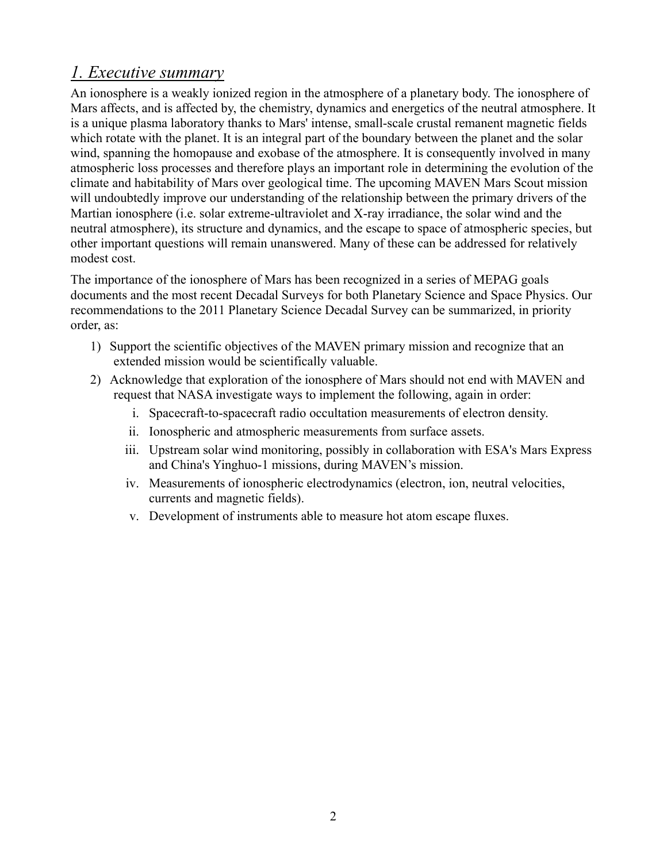# *1. Executive summary*

An ionosphere is a weakly ionized region in the atmosphere of a planetary body. The ionosphere of Mars affects, and is affected by, the chemistry, dynamics and energetics of the neutral atmosphere. It is a unique plasma laboratory thanks to Mars' intense, small-scale crustal remanent magnetic fields which rotate with the planet. It is an integral part of the boundary between the planet and the solar wind, spanning the homopause and exobase of the atmosphere. It is consequently involved in many atmospheric loss processes and therefore plays an important role in determining the evolution of the climate and habitability of Mars over geological time. The upcoming MAVEN Mars Scout mission will undoubtedly improve our understanding of the relationship between the primary drivers of the Martian ionosphere (i.e. solar extreme-ultraviolet and X-ray irradiance, the solar wind and the neutral atmosphere), its structure and dynamics, and the escape to space of atmospheric species, but other important questions will remain unanswered. Many of these can be addressed for relatively modest cost.

The importance of the ionosphere of Mars has been recognized in a series of MEPAG goals documents and the most recent Decadal Surveys for both Planetary Science and Space Physics. Our recommendations to the 2011 Planetary Science Decadal Survey can be summarized, in priority order, as:

- 1) Support the scientific objectives of the MAVEN primary mission and recognize that an extended mission would be scientifically valuable.
- 2) Acknowledge that exploration of the ionosphere of Mars should not end with MAVEN and request that NASA investigate ways to implement the following, again in order:
	- i. Spacecraft-to-spacecraft radio occultation measurements of electron density.
	- ii. Ionospheric and atmospheric measurements from surface assets.
	- iii. Upstream solar wind monitoring, possibly in collaboration with ESA's Mars Express and China's Yinghuo-1 missions, during MAVEN's mission.
	- iv. Measurements of ionospheric electrodynamics (electron, ion, neutral velocities, currents and magnetic fields).
	- v. Development of instruments able to measure hot atom escape fluxes.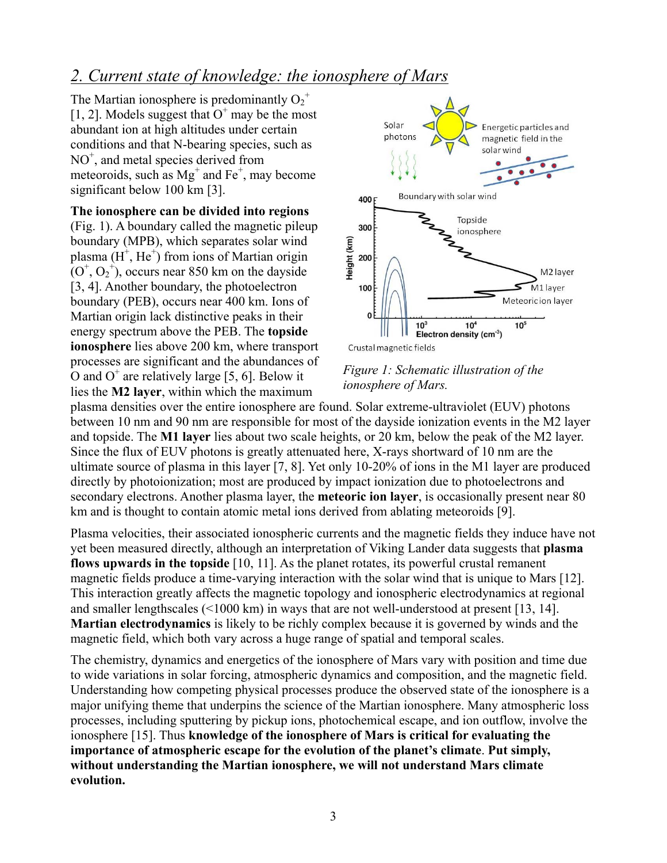## *2. Current state of knowledge: the ionosphere of Mars*

The Martian ionosphere is predominantly  $O_2^+$ [1, 2]. Models suggest that  $O<sup>+</sup>$  may be the most abundant ion at high altitudes under certain conditions and that N-bearing species, such as NO<sup>+</sup>, and metal species derived from meteoroids, such as  $Mg^+$  and Fe<sup>+</sup>, may become significant below 100 km [3].

**The ionosphere can be divided into regions** (Fig. 1). A boundary called the magnetic pileup boundary (MPB), which separates solar wind plasma  $(H^+, He^+)$  from ions of Martian origin  $(O<sup>+</sup>, O<sub>2</sub><sup>+</sup>)$ , occurs near 850 km on the dayside [3, 4]. Another boundary, the photoelectron boundary (PEB), occurs near 400 km. Ions of Martian origin lack distinctive peaks in their energy spectrum above the PEB. The **topside ionosphere** lies above 200 km, where transport processes are significant and the abundances of O and  $O^+$  are relatively large [5, 6]. Below it lies the **M2 layer**, within which the maximum



#### *Figure 1: Schematic illustration of the ionosphere of Mars.*

plasma densities over the entire ionosphere are found. Solar extreme-ultraviolet (EUV) photons between 10 nm and 90 nm are responsible for most of the dayside ionization events in the M2 layer and topside. The **M1 layer** lies about two scale heights, or 20 km, below the peak of the M2 layer. Since the flux of EUV photons is greatly attenuated here, X-rays shortward of 10 nm are the ultimate source of plasma in this layer [7, 8]. Yet only 10-20% of ions in the M1 layer are produced directly by photoionization; most are produced by impact ionization due to photoelectrons and secondary electrons. Another plasma layer, the **meteoric ion layer**, is occasionally present near 80 km and is thought to contain atomic metal ions derived from ablating meteoroids [9].

Plasma velocities, their associated ionospheric currents and the magnetic fields they induce have not yet been measured directly, although an interpretation of Viking Lander data suggests that **plasma flows upwards in the topside** [10, 11]. As the planet rotates, its powerful crustal remanent magnetic fields produce a time-varying interaction with the solar wind that is unique to Mars [12]. This interaction greatly affects the magnetic topology and ionospheric electrodynamics at regional and smaller lengthscales (<1000 km) in ways that are not well-understood at present [13, 14]. **Martian electrodynamics** is likely to be richly complex because it is governed by winds and the magnetic field, which both vary across a huge range of spatial and temporal scales.

The chemistry, dynamics and energetics of the ionosphere of Mars vary with position and time due to wide variations in solar forcing, atmospheric dynamics and composition, and the magnetic field. Understanding how competing physical processes produce the observed state of the ionosphere is a major unifying theme that underpins the science of the Martian ionosphere. Many atmospheric loss processes, including sputtering by pickup ions, photochemical escape, and ion outflow, involve the ionosphere [15]. Thus **knowledge of the ionosphere of Mars is critical for evaluating the importance of atmospheric escape for the evolution of the planet's climate**. **Put simply, without understanding the Martian ionosphere, we will not understand Mars climate evolution.**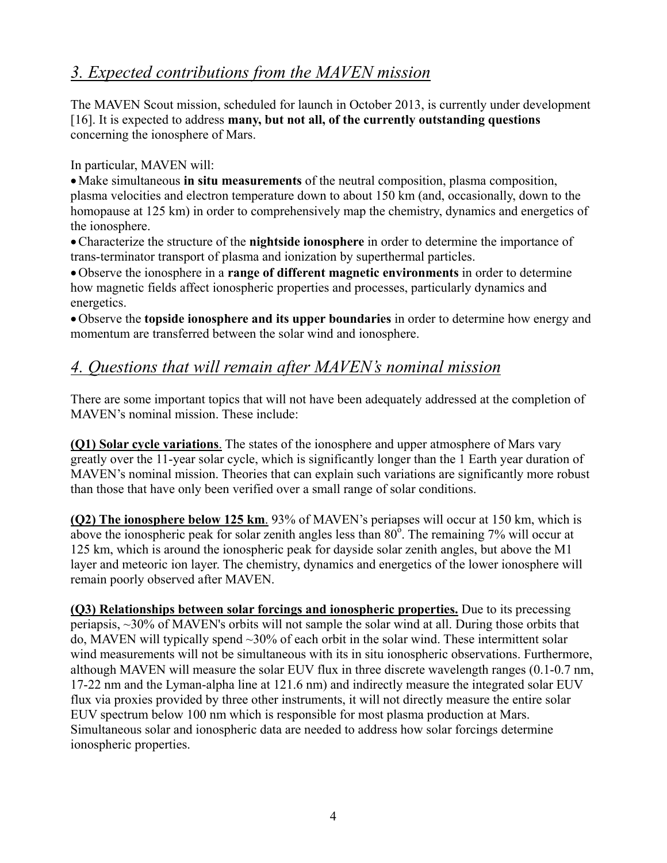## *3. Expected contributions from the MAVEN mission*

The MAVEN Scout mission, scheduled for launch in October 2013, is currently under development [16]. It is expected to address **many, but not all, of the currently outstanding questions** concerning the ionosphere of Mars.

In particular, MAVEN will:

•Make simultaneous **in situ measurements** of the neutral composition, plasma composition, plasma velocities and electron temperature down to about 150 km (and, occasionally, down to the homopause at 125 km) in order to comprehensively map the chemistry, dynamics and energetics of the ionosphere.

•Characterize the structure of the **nightside ionosphere** in order to determine the importance of trans-terminator transport of plasma and ionization by superthermal particles.

•Observe the ionosphere in a **range of different magnetic environments** in order to determine how magnetic fields affect ionospheric properties and processes, particularly dynamics and energetics.

•Observe the **topside ionosphere and its upper boundaries** in order to determine how energy and momentum are transferred between the solar wind and ionosphere.

### *4. Questions that will remain after MAVEN's nominal mission*

There are some important topics that will not have been adequately addressed at the completion of MAVEN's nominal mission. These include:

**(Q1) Solar cycle variations**. The states of the ionosphere and upper atmosphere of Mars vary greatly over the 11-year solar cycle, which is significantly longer than the 1 Earth year duration of MAVEN's nominal mission. Theories that can explain such variations are significantly more robust than those that have only been verified over a small range of solar conditions.

**(Q2) The ionosphere below 125 km**. 93% of MAVEN's periapses will occur at 150 km, which is above the ionospheric peak for solar zenith angles less than  $80^{\circ}$ . The remaining 7% will occur at 125 km, which is around the ionospheric peak for dayside solar zenith angles, but above the M1 layer and meteoric ion layer. The chemistry, dynamics and energetics of the lower ionosphere will remain poorly observed after MAVEN.

**(Q3) Relationships between solar forcings and ionospheric properties.** Due to its precessing periapsis, ~30% of MAVEN's orbits will not sample the solar wind at all. During those orbits that do, MAVEN will typically spend ~30% of each orbit in the solar wind. These intermittent solar wind measurements will not be simultaneous with its in situ ionospheric observations. Furthermore, although MAVEN will measure the solar EUV flux in three discrete wavelength ranges (0.1-0.7 nm, 17-22 nm and the Lyman-alpha line at 121.6 nm) and indirectly measure the integrated solar EUV flux via proxies provided by three other instruments, it will not directly measure the entire solar EUV spectrum below 100 nm which is responsible for most plasma production at Mars. Simultaneous solar and ionospheric data are needed to address how solar forcings determine ionospheric properties.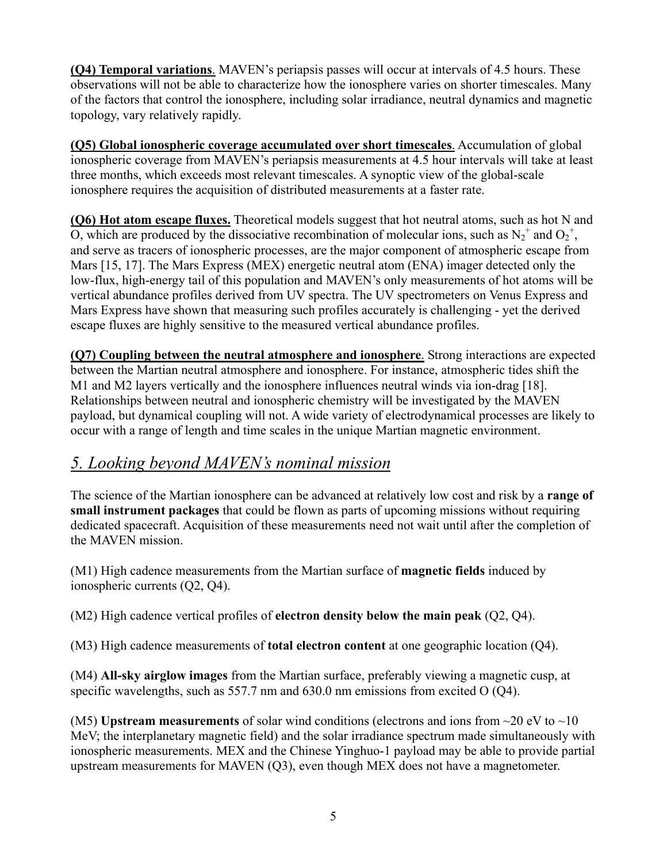**(Q4) Temporal variations**. MAVEN's periapsis passes will occur at intervals of 4.5 hours. These observations will not be able to characterize how the ionosphere varies on shorter timescales. Many of the factors that control the ionosphere, including solar irradiance, neutral dynamics and magnetic topology, vary relatively rapidly.

**(Q5) Global ionospheric coverage accumulated over short timescales**. Accumulation of global ionospheric coverage from MAVEN's periapsis measurements at 4.5 hour intervals will take at least three months, which exceeds most relevant timescales. A synoptic view of the global-scale ionosphere requires the acquisition of distributed measurements at a faster rate.

**(Q6) Hot atom escape fluxes.** Theoretical models suggest that hot neutral atoms, such as hot N and O, which are produced by the dissociative recombination of molecular ions, such as  $N_2^+$  and  $O_2^+$ , and serve as tracers of ionospheric processes, are the major component of atmospheric escape from Mars [15, 17]. The Mars Express (MEX) energetic neutral atom (ENA) imager detected only the low-flux, high-energy tail of this population and MAVEN's only measurements of hot atoms will be vertical abundance profiles derived from UV spectra. The UV spectrometers on Venus Express and Mars Express have shown that measuring such profiles accurately is challenging - yet the derived escape fluxes are highly sensitive to the measured vertical abundance profiles.

**(Q7) Coupling between the neutral atmosphere and ionosphere**. Strong interactions are expected between the Martian neutral atmosphere and ionosphere. For instance, atmospheric tides shift the M1 and M2 layers vertically and the ionosphere influences neutral winds via ion-drag [18]. Relationships between neutral and ionospheric chemistry will be investigated by the MAVEN payload, but dynamical coupling will not. A wide variety of electrodynamical processes are likely to occur with a range of length and time scales in the unique Martian magnetic environment.

#### *5. Looking beyond MAVEN's nominal mission*

The science of the Martian ionosphere can be advanced at relatively low cost and risk by a **range of small instrument packages** that could be flown as parts of upcoming missions without requiring dedicated spacecraft. Acquisition of these measurements need not wait until after the completion of the MAVEN mission.

(M1) High cadence measurements from the Martian surface of **magnetic fields** induced by ionospheric currents (Q2, Q4).

(M2) High cadence vertical profiles of **electron density below the main peak** (Q2, Q4).

(M3) High cadence measurements of **total electron content** at one geographic location (Q4).

(M4) **All-sky airglow images** from the Martian surface, preferably viewing a magnetic cusp, at specific wavelengths, such as 557.7 nm and 630.0 nm emissions from excited O (O4).

(M5) **Upstream measurements** of solar wind conditions (electrons and ions from  $\sim$ 20 eV to  $\sim$ 10 MeV; the interplanetary magnetic field) and the solar irradiance spectrum made simultaneously with ionospheric measurements. MEX and the Chinese Yinghuo-1 payload may be able to provide partial upstream measurements for MAVEN (Q3), even though MEX does not have a magnetometer.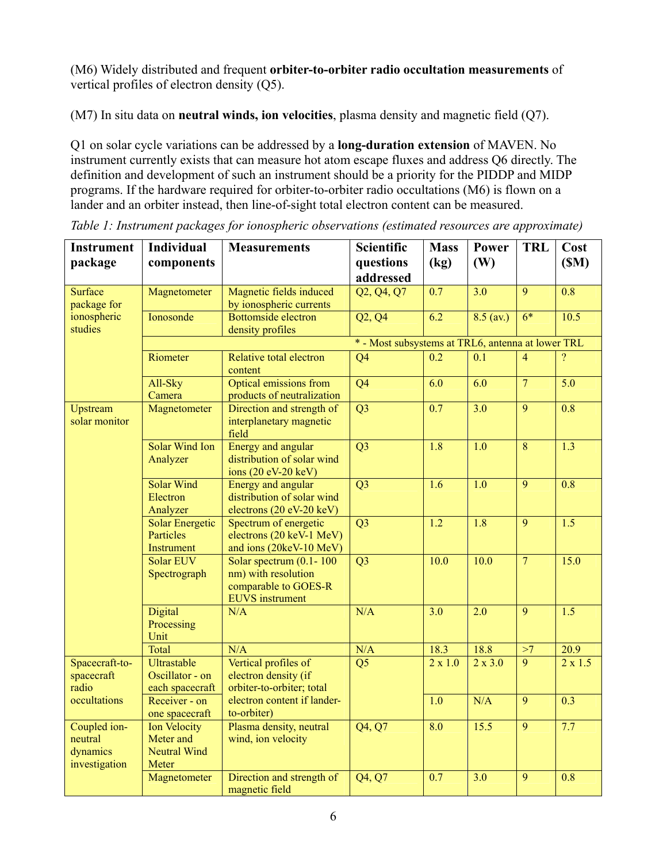(M6) Widely distributed and frequent **orbiter-to-orbiter radio occultation measurements** of vertical profiles of electron density (Q5).

(M7) In situ data on **neutral winds, ion velocities**, plasma density and magnetic field (Q7).

Q1 on solar cycle variations can be addressed by a **long-duration extension** of MAVEN. No instrument currently exists that can measure hot atom escape fluxes and address Q6 directly. The definition and development of such an instrument should be a priority for the PIDDP and MIDP programs. If the hardware required for orbiter-to-orbiter radio occultations (M6) is flown on a lander and an orbiter instead, then line-of-sight total electron content can be measured.

| <b>Instrument</b><br>package                            | <b>Individual</b><br>components                                  | <b>Measurements</b>                                                                                   | Scientific<br>questions | <b>Mass</b><br>(kg) | Power<br>(W)     | <b>TRL</b>      | Cost<br>(SM)     |
|---------------------------------------------------------|------------------------------------------------------------------|-------------------------------------------------------------------------------------------------------|-------------------------|---------------------|------------------|-----------------|------------------|
|                                                         |                                                                  |                                                                                                       | addressed               |                     |                  |                 |                  |
| <b>Surface</b><br>package for<br>ionospheric<br>studies | Magnetometer                                                     | Magnetic fields induced<br>by ionospheric currents                                                    | Q2, Q4, Q7              | $\overline{0.7}$    | 3.0              | $\overline{9}$  | $\overline{0.8}$ |
|                                                         | Ionosonde                                                        | Bottomside electron<br>density profiles                                                               | Q2, Q4                  | $\overline{6.2}$    | $8.5$ (av.)      | $\overline{6*}$ | 10.5             |
|                                                         | * - Most subsystems at TRL6, antenna at lower TRL                |                                                                                                       |                         |                     |                  |                 |                  |
|                                                         | Riometer                                                         | Relative total electron<br>content                                                                    | Q <sub>4</sub>          | $\overline{0.2}$    | $\overline{0.1}$ | $\overline{4}$  | $\overline{?}$   |
|                                                         | All-Sky<br>Camera                                                | <b>Optical emissions from</b><br>products of neutralization                                           | $\overline{Q4}$         | $\overline{6.0}$    | $\overline{6.0}$ | $\overline{7}$  | $\overline{5.0}$ |
| <b>Upstream</b><br>solar monitor                        | Magnetometer                                                     | Direction and strength of<br>interplanetary magnetic<br>field                                         | $\overline{Q3}$         | 0.7                 | $\overline{3.0}$ | $\overline{9}$  | $\overline{0.8}$ |
|                                                         | Solar Wind Ion<br>Analyzer                                       | <b>Energy and angular</b><br>distribution of solar wind<br>ions (20 eV-20 keV)                        | $\overline{Q}$          | $\overline{1.8}$    | $\overline{1.0}$ | $\overline{8}$  | 1.3              |
|                                                         | <b>Solar Wind</b><br>Electron<br>Analyzer                        | <b>Energy and angular</b><br>distribution of solar wind<br>electrons (20 eV-20 keV)                   | $\overline{Q3}$         | $\overline{1.6}$    | $\overline{1.0}$ | $\overline{9}$  | $\overline{0.8}$ |
|                                                         | <b>Solar Energetic</b><br>Particles<br>Instrument                | Spectrum of energetic<br>electrons (20 keV-1 MeV)<br>and ions (20keV-10 MeV)                          | Q <sub>3</sub>          | $\overline{1.2}$    | $\overline{1.8}$ | $\overline{9}$  | $\overline{1.5}$ |
|                                                         | Solar EUV<br>Spectrograph                                        | Solar spectrum $(0.1 - 100)$<br>nm) with resolution<br>comparable to GOES-R<br><b>EUVS</b> instrument | Q <sub>3</sub>          | 10.0                | 10.0             | $\overline{7}$  | 15.0             |
|                                                         | Digital<br>Processing<br>Unit                                    | N/A                                                                                                   | N/A                     | $\overline{3.0}$    | $\overline{2.0}$ | $\overline{9}$  | $\overline{1.5}$ |
|                                                         | Total                                                            | N/A                                                                                                   | N/A                     | 18.3                | 18.8             | >7              | 20.9             |
| Spacecraft-to-<br>spacecraft<br>radio<br>occultations   | Ultrastable<br>Oscillator - on<br>each spacecraft                | Vertical profiles of<br>electron density (if<br>orbiter-to-orbiter; total                             | Q <sub>5</sub>          | $2 \times 1.0$      | $2 \times 3.0$   | 9               | $2 \times 1.5$   |
|                                                         | Receiver - on<br>one spacecraft                                  | electron content if lander-<br>to-orbiter)                                                            |                         | $\overline{1.0}$    | N/A              | $\overline{9}$  | $\overline{0.3}$ |
| Coupled ion-<br>neutral<br>dynamics<br>investigation    | <b>Ion Velocity</b><br>Meter and<br><b>Neutral Wind</b><br>Meter | Plasma density, neutral<br>wind, ion velocity                                                         | $\overline{Q4, Q7}$     | $\overline{8.0}$    | 15.5             | $\overline{9}$  | 7.7              |
|                                                         | Magnetometer                                                     | Direction and strength of<br>magnetic field                                                           | Q4, Q7                  | 0.7                 | $\overline{3.0}$ | $\overline{9}$  | 0.8              |

*Table 1: Instrument packages for ionospheric observations (estimated resources are approximate)*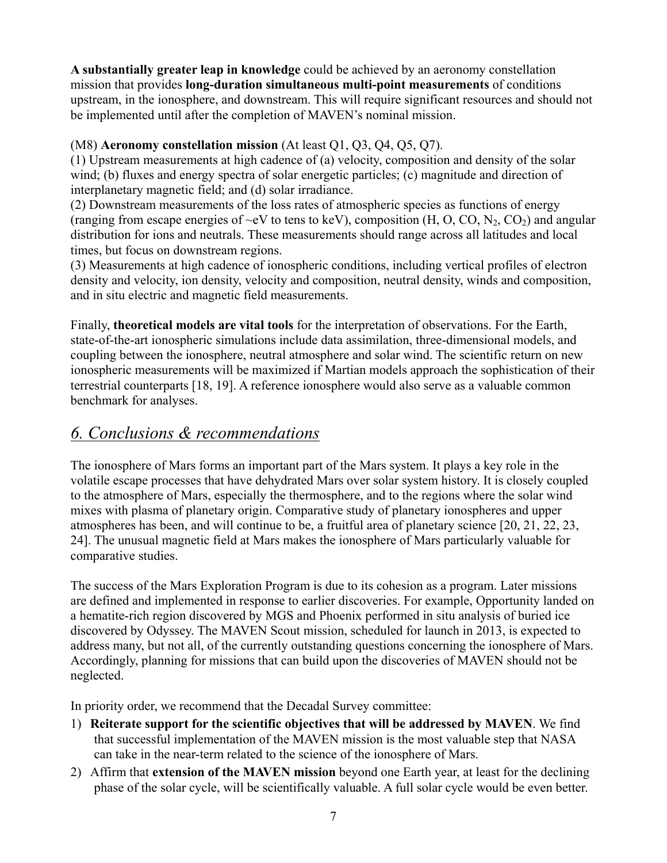**A substantially greater leap in knowledge** could be achieved by an aeronomy constellation mission that provides **long-duration simultaneous multi-point measurements** of conditions upstream, in the ionosphere, and downstream. This will require significant resources and should not be implemented until after the completion of MAVEN's nominal mission.

#### (M8) **Aeronomy constellation mission** (At least Q1, Q3, Q4, Q5, Q7).

(1) Upstream measurements at high cadence of (a) velocity, composition and density of the solar wind; (b) fluxes and energy spectra of solar energetic particles; (c) magnitude and direction of interplanetary magnetic field; and (d) solar irradiance.

(2) Downstream measurements of the loss rates of atmospheric species as functions of energy (ranging from escape energies of  $\sim$ eV to tens to keV), composition (H, O, CO, N<sub>2</sub>, CO<sub>2</sub>) and angular distribution for ions and neutrals. These measurements should range across all latitudes and local times, but focus on downstream regions.

(3) Measurements at high cadence of ionospheric conditions, including vertical profiles of electron density and velocity, ion density, velocity and composition, neutral density, winds and composition, and in situ electric and magnetic field measurements.

Finally, **theoretical models are vital tools** for the interpretation of observations. For the Earth, state-of-the-art ionospheric simulations include data assimilation, three-dimensional models, and coupling between the ionosphere, neutral atmosphere and solar wind. The scientific return on new ionospheric measurements will be maximized if Martian models approach the sophistication of their terrestrial counterparts [18, 19]. A reference ionosphere would also serve as a valuable common benchmark for analyses.

#### *6. Conclusions & recommendations*

The ionosphere of Mars forms an important part of the Mars system. It plays a key role in the volatile escape processes that have dehydrated Mars over solar system history. It is closely coupled to the atmosphere of Mars, especially the thermosphere, and to the regions where the solar wind mixes with plasma of planetary origin. Comparative study of planetary ionospheres and upper atmospheres has been, and will continue to be, a fruitful area of planetary science [20, 21, 22, 23, 24]. The unusual magnetic field at Mars makes the ionosphere of Mars particularly valuable for comparative studies.

The success of the Mars Exploration Program is due to its cohesion as a program. Later missions are defined and implemented in response to earlier discoveries. For example, Opportunity landed on a hematite-rich region discovered by MGS and Phoenix performed in situ analysis of buried ice discovered by Odyssey. The MAVEN Scout mission, scheduled for launch in 2013, is expected to address many, but not all, of the currently outstanding questions concerning the ionosphere of Mars. Accordingly, planning for missions that can build upon the discoveries of MAVEN should not be neglected.

In priority order, we recommend that the Decadal Survey committee:

- 1) **Reiterate support for the scientific objectives that will be addressed by MAVEN**. We find that successful implementation of the MAVEN mission is the most valuable step that NASA can take in the near-term related to the science of the ionosphere of Mars.
- 2) Affirm that **extension of the MAVEN mission** beyond one Earth year, at least for the declining phase of the solar cycle, will be scientifically valuable. A full solar cycle would be even better.